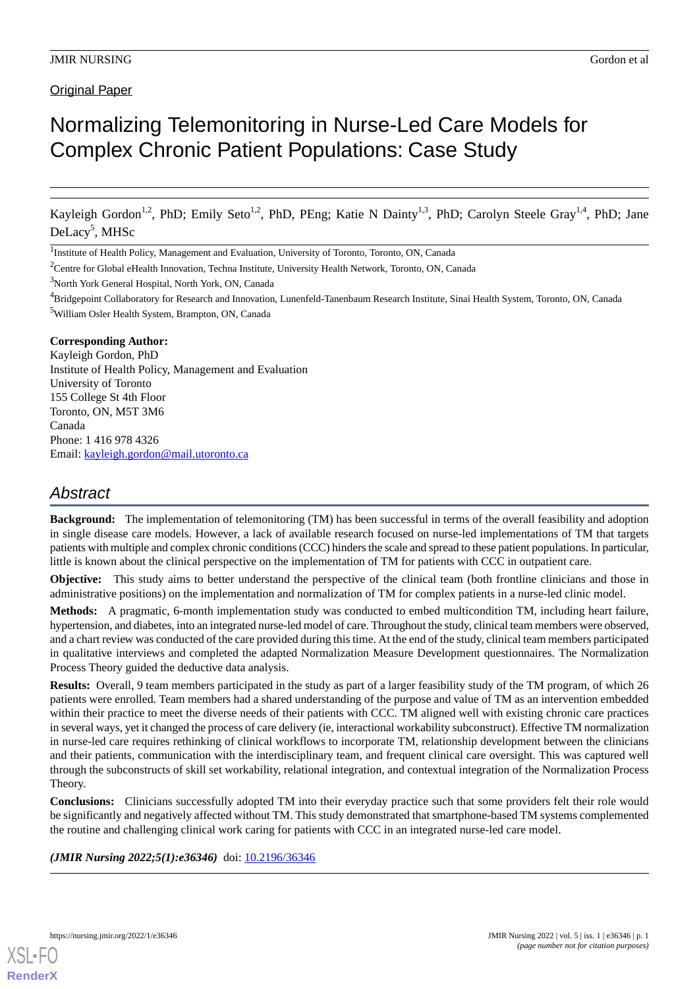Original Paper

# Normalizing Telemonitoring in Nurse-Led Care Models for Complex Chronic Patient Populations: Case Study

Kayleigh Gordon<sup>1,2</sup>, PhD; Emily Seto<sup>1,2</sup>, PhD, PEng; Katie N Dainty<sup>1,3</sup>, PhD; Carolyn Steele Gray<sup>1,4</sup>, PhD; Jane DeLacy 5 , MHSc

#### **Corresponding Author:**

Kayleigh Gordon, PhD Institute of Health Policy, Management and Evaluation University of Toronto 155 College St 4th Floor Toronto, ON, M5T 3M6 Canada Phone: 1 416 978 4326 Email: [kayleigh.gordon@mail.utoronto.ca](mailto:kayleigh.gordon@mail.utoronto.ca)

# *Abstract*

**Background:** The implementation of telemonitoring (TM) has been successful in terms of the overall feasibility and adoption in single disease care models. However, a lack of available research focused on nurse-led implementations of TM that targets patients with multiple and complex chronic conditions (CCC) hinders the scale and spread to these patient populations. In particular, little is known about the clinical perspective on the implementation of TM for patients with CCC in outpatient care.

**Objective:** This study aims to better understand the perspective of the clinical team (both frontline clinicians and those in administrative positions) on the implementation and normalization of TM for complex patients in a nurse-led clinic model.

**Methods:** A pragmatic, 6-month implementation study was conducted to embed multicondition TM, including heart failure, hypertension, and diabetes, into an integrated nurse-led model of care. Throughout the study, clinical team members were observed, and a chart review was conducted of the care provided during this time. At the end of the study, clinical team members participated in qualitative interviews and completed the adapted Normalization Measure Development questionnaires. The Normalization Process Theory guided the deductive data analysis.

**Results:** Overall, 9 team members participated in the study as part of a larger feasibility study of the TM program, of which 26 patients were enrolled. Team members had a shared understanding of the purpose and value of TM as an intervention embedded within their practice to meet the diverse needs of their patients with CCC. TM aligned well with existing chronic care practices in several ways, yet it changed the process of care delivery (ie, interactional workability subconstruct). Effective TM normalization in nurse-led care requires rethinking of clinical workflows to incorporate TM, relationship development between the clinicians and their patients, communication with the interdisciplinary team, and frequent clinical care oversight. This was captured well through the subconstructs of skill set workability, relational integration, and contextual integration of the Normalization Process Theory.

**Conclusions:** Clinicians successfully adopted TM into their everyday practice such that some providers felt their role would be significantly and negatively affected without TM. This study demonstrated that smartphone-based TM systems complemented the routine and challenging clinical work caring for patients with CCC in an integrated nurse-led care model.

*(JMIR Nursing 2022;5(1):e36346)* doi: [10.2196/36346](http://dx.doi.org/10.2196/36346)

<sup>&</sup>lt;sup>1</sup>Institute of Health Policy, Management and Evaluation, University of Toronto, Toronto, ON, Canada

<sup>2</sup>Centre for Global eHealth Innovation, Techna Institute, University Health Network, Toronto, ON, Canada

<sup>&</sup>lt;sup>3</sup>North York General Hospital, North York, ON, Canada

<sup>4</sup>Bridgepoint Collaboratory for Research and Innovation, Lunenfeld-Tanenbaum Research Institute, Sinai Health System, Toronto, ON, Canada <sup>5</sup>William Osler Health System, Brampton, ON, Canada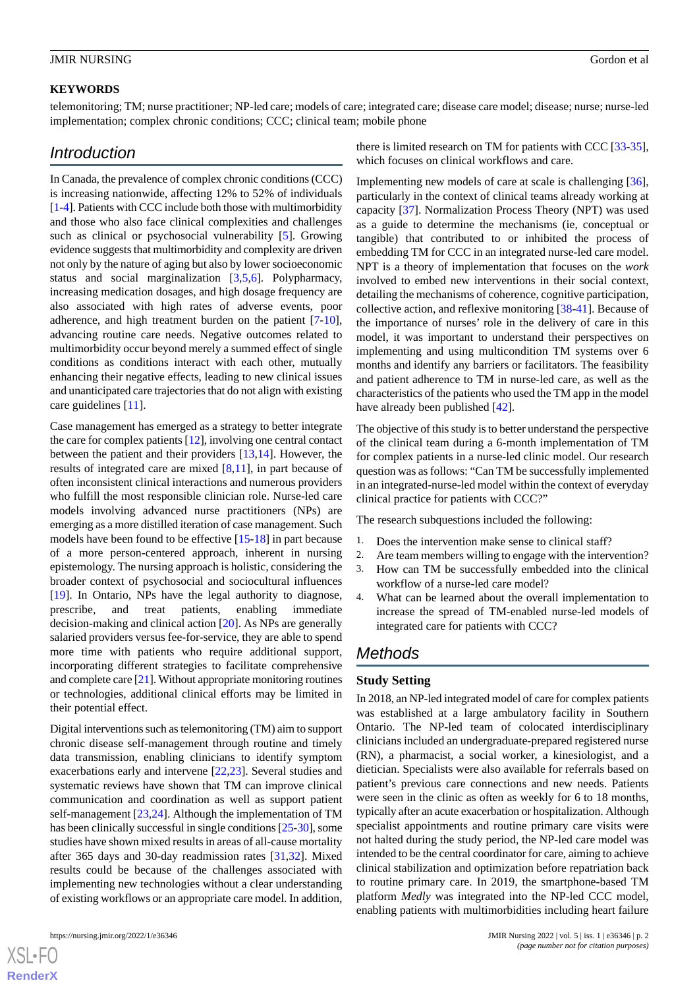#### **KEYWORDS**

telemonitoring; TM; nurse practitioner; NP-led care; models of care; integrated care; disease care model; disease; nurse; nurse-led implementation; complex chronic conditions; CCC; clinical team; mobile phone

# *Introduction*

In Canada, the prevalence of complex chronic conditions (CCC) is increasing nationwide, affecting 12% to 52% of individuals [[1-](#page-9-0)[4\]](#page-9-1). Patients with CCC include both those with multimorbidity and those who also face clinical complexities and challenges such as clinical or psychosocial vulnerability [[5\]](#page-9-2). Growing evidence suggests that multimorbidity and complexity are driven not only by the nature of aging but also by lower socioeconomic status and social marginalization [[3](#page-9-3)[,5](#page-9-2),[6\]](#page-9-4). Polypharmacy, increasing medication dosages, and high dosage frequency are also associated with high rates of adverse events, poor adherence, and high treatment burden on the patient [[7](#page-9-5)-[10\]](#page-9-6), advancing routine care needs. Negative outcomes related to multimorbidity occur beyond merely a summed effect of single conditions as conditions interact with each other, mutually enhancing their negative effects, leading to new clinical issues and unanticipated care trajectories that do not align with existing care guidelines [[11\]](#page-9-7).

Case management has emerged as a strategy to better integrate the care for complex patients [[12\]](#page-9-8), involving one central contact between the patient and their providers [[13,](#page-9-9)[14\]](#page-9-10). However, the results of integrated care are mixed [\[8,](#page-9-11)[11](#page-9-7)], in part because of often inconsistent clinical interactions and numerous providers who fulfill the most responsible clinician role. Nurse-led care models involving advanced nurse practitioners (NPs) are emerging as a more distilled iteration of case management. Such models have been found to be effective [\[15](#page-9-12)[-18](#page-10-0)] in part because of a more person-centered approach, inherent in nursing epistemology. The nursing approach is holistic, considering the broader context of psychosocial and sociocultural influences [[19\]](#page-10-1). In Ontario, NPs have the legal authority to diagnose, prescribe, and treat patients, enabling immediate decision-making and clinical action [[20\]](#page-10-2). As NPs are generally salaried providers versus fee-for-service, they are able to spend more time with patients who require additional support, incorporating different strategies to facilitate comprehensive and complete care [[21\]](#page-10-3). Without appropriate monitoring routines or technologies, additional clinical efforts may be limited in their potential effect.

Digital interventions such as telemonitoring (TM) aim to support chronic disease self-management through routine and timely data transmission, enabling clinicians to identify symptom exacerbations early and intervene [\[22](#page-10-4),[23\]](#page-10-5). Several studies and systematic reviews have shown that TM can improve clinical communication and coordination as well as support patient self-management [[23](#page-10-5)[,24](#page-10-6)]. Although the implementation of TM has been clinically successful in single conditions [\[25](#page-10-7)[-30](#page-10-8)], some studies have shown mixed results in areas of all-cause mortality after 365 days and 30-day readmission rates [[31,](#page-10-9)[32](#page-10-10)]. Mixed results could be because of the challenges associated with implementing new technologies without a clear understanding of existing workflows or an appropriate care model. In addition,

 $X$ SL•F $C$ **[RenderX](http://www.renderx.com/)** there is limited research on TM for patients with CCC [[33-](#page-10-11)[35\]](#page-10-12), which focuses on clinical workflows and care.

Implementing new models of care at scale is challenging [[36\]](#page-10-13), particularly in the context of clinical teams already working at capacity [\[37](#page-10-14)]. Normalization Process Theory (NPT) was used as a guide to determine the mechanisms (ie, conceptual or tangible) that contributed to or inhibited the process of embedding TM for CCC in an integrated nurse-led care model. NPT is a theory of implementation that focuses on the *work* involved to embed new interventions in their social context, detailing the mechanisms of coherence, cognitive participation, collective action, and reflexive monitoring [[38-](#page-11-0)[41\]](#page-11-1). Because of the importance of nurses' role in the delivery of care in this model, it was important to understand their perspectives on implementing and using multicondition TM systems over 6 months and identify any barriers or facilitators. The feasibility and patient adherence to TM in nurse-led care, as well as the characteristics of the patients who used the TM app in the model have already been published [[42\]](#page-11-2).

The objective of this study is to better understand the perspective of the clinical team during a 6-month implementation of TM for complex patients in a nurse-led clinic model. Our research question was as follows: "Can TM be successfully implemented in an integrated-nurse-led model within the context of everyday clinical practice for patients with CCC?"

The research subquestions included the following:

- 1. Does the intervention make sense to clinical staff?
- 2. Are team members willing to engage with the intervention?
- 3. How can TM be successfully embedded into the clinical workflow of a nurse-led care model?
- 4. What can be learned about the overall implementation to increase the spread of TM-enabled nurse-led models of integrated care for patients with CCC?

## *Methods*

#### **Study Setting**

In 2018, an NP-led integrated model of care for complex patients was established at a large ambulatory facility in Southern Ontario. The NP-led team of colocated interdisciplinary clinicians included an undergraduate-prepared registered nurse (RN), a pharmacist, a social worker, a kinesiologist, and a dietician. Specialists were also available for referrals based on patient's previous care connections and new needs. Patients were seen in the clinic as often as weekly for 6 to 18 months, typically after an acute exacerbation or hospitalization. Although specialist appointments and routine primary care visits were not halted during the study period, the NP-led care model was intended to be the central coordinator for care, aiming to achieve clinical stabilization and optimization before repatriation back to routine primary care. In 2019, the smartphone-based TM platform *Medly* was integrated into the NP-led CCC model, enabling patients with multimorbidities including heart failure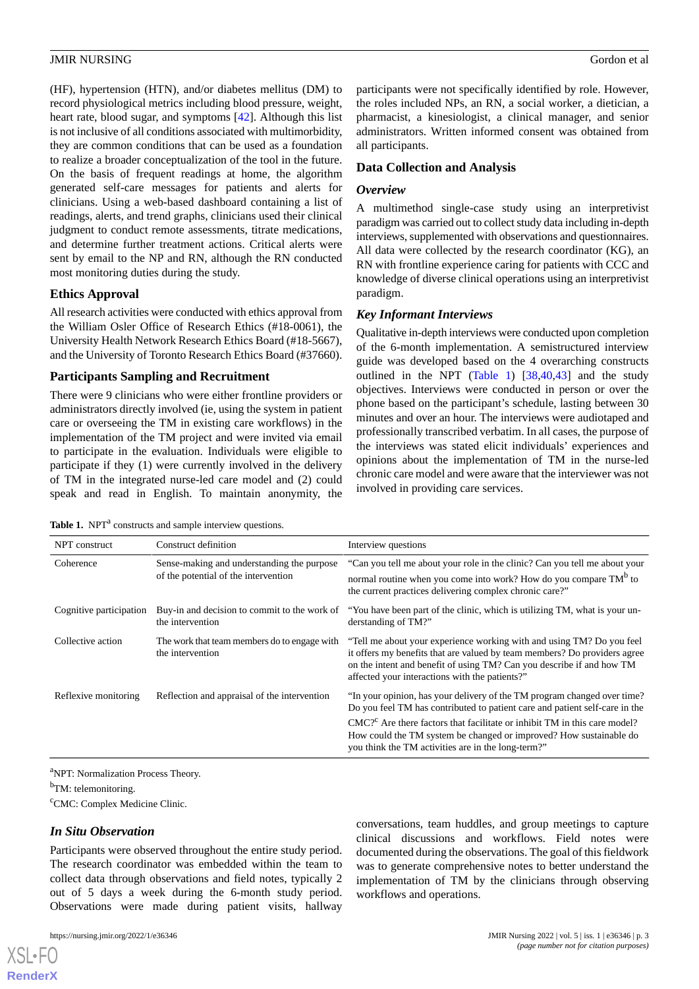(HF), hypertension (HTN), and/or diabetes mellitus (DM) to record physiological metrics including blood pressure, weight, heart rate, blood sugar, and symptoms [[42\]](#page-11-2). Although this list is not inclusive of all conditions associated with multimorbidity, they are common conditions that can be used as a foundation to realize a broader conceptualization of the tool in the future. On the basis of frequent readings at home, the algorithm generated self-care messages for patients and alerts for clinicians. Using a web-based dashboard containing a list of readings, alerts, and trend graphs, clinicians used their clinical judgment to conduct remote assessments, titrate medications, and determine further treatment actions. Critical alerts were sent by email to the NP and RN, although the RN conducted most monitoring duties during the study.

## **Ethics Approval**

All research activities were conducted with ethics approval from the William Osler Office of Research Ethics (#18-0061), the University Health Network Research Ethics Board (#18-5667), and the University of Toronto Research Ethics Board (#37660).

## **Participants Sampling and Recruitment**

There were 9 clinicians who were either frontline providers or administrators directly involved (ie, using the system in patient care or overseeing the TM in existing care workflows) in the implementation of the TM project and were invited via email to participate in the evaluation. Individuals were eligible to participate if they (1) were currently involved in the delivery of TM in the integrated nurse-led care model and (2) could speak and read in English. To maintain anonymity, the

<span id="page-2-0"></span>

|  |  |  | Table 1. NPT <sup>a</sup> constructs and sample interview questions. |  |
|--|--|--|----------------------------------------------------------------------|--|
|--|--|--|----------------------------------------------------------------------|--|

participants were not specifically identified by role. However, the roles included NPs, an RN, a social worker, a dietician, a pharmacist, a kinesiologist, a clinical manager, and senior administrators. Written informed consent was obtained from all participants.

#### **Data Collection and Analysis**

#### *Overview*

A multimethod single-case study using an interpretivist paradigm was carried out to collect study data including in-depth interviews, supplemented with observations and questionnaires. All data were collected by the research coordinator (KG), an RN with frontline experience caring for patients with CCC and knowledge of diverse clinical operations using an interpretivist paradigm.

#### *Key Informant Interviews*

Qualitative in-depth interviews were conducted upon completion of the 6-month implementation. A semistructured interview guide was developed based on the 4 overarching constructs outlined in the NPT ([Table 1\)](#page-2-0) [\[38](#page-11-0),[40,](#page-11-3)[43](#page-11-4)] and the study objectives. Interviews were conducted in person or over the phone based on the participant's schedule, lasting between 30 minutes and over an hour. The interviews were audiotaped and professionally transcribed verbatim. In all cases, the purpose of the interviews was stated elicit individuals' experiences and opinions about the implementation of TM in the nurse-led chronic care model and were aware that the interviewer was not involved in providing care services.

| NPT construct           | Construct definition                                                               | Interview questions                                                                                                                                                                                                                                                           |
|-------------------------|------------------------------------------------------------------------------------|-------------------------------------------------------------------------------------------------------------------------------------------------------------------------------------------------------------------------------------------------------------------------------|
| Coherence               | Sense-making and understanding the purpose<br>of the potential of the intervention | "Can you tell me about your role in the clinic? Can you tell me about your<br>normal routine when you come into work? How do you compare TM <sup>b</sup> to<br>the current practices delivering complex chronic care?"                                                        |
| Cognitive participation | Buy-in and decision to commit to the work of<br>the intervention                   | "You have been part of the clinic, which is utilizing TM, what is your un-<br>derstanding of TM?"                                                                                                                                                                             |
| Collective action       | The work that team members do to engage with<br>the intervention                   | "Tell me about your experience working with and using TM? Do you feel<br>it offers my benefits that are valued by team members? Do providers agree<br>on the intent and benefit of using TM? Can you describe if and how TM<br>affected your interactions with the patients?" |
| Reflexive monitoring    | Reflection and appraisal of the intervention                                       | "In your opinion, has your delivery of the TM program changed over time?<br>Do you feel TM has contributed to patient care and patient self-care in the                                                                                                                       |
|                         |                                                                                    | $CMC2$ Are there factors that facilitate or inhibit TM in this care model?<br>How could the TM system be changed or improved? How sustainable do<br>you think the TM activities are in the long-term?"                                                                        |

<sup>a</sup>NPT: Normalization Process Theory.

<sup>b</sup>TM: telemonitoring.

<sup>c</sup>CMC: Complex Medicine Clinic.

## *In Situ Observation*

Participants were observed throughout the entire study period. The research coordinator was embedded within the team to collect data through observations and field notes, typically 2 out of 5 days a week during the 6-month study period. Observations were made during patient visits, hallway

[XSL](http://www.w3.org/Style/XSL)•FO **[RenderX](http://www.renderx.com/)**

conversations, team huddles, and group meetings to capture clinical discussions and workflows. Field notes were documented during the observations. The goal of this fieldwork was to generate comprehensive notes to better understand the implementation of TM by the clinicians through observing workflows and operations.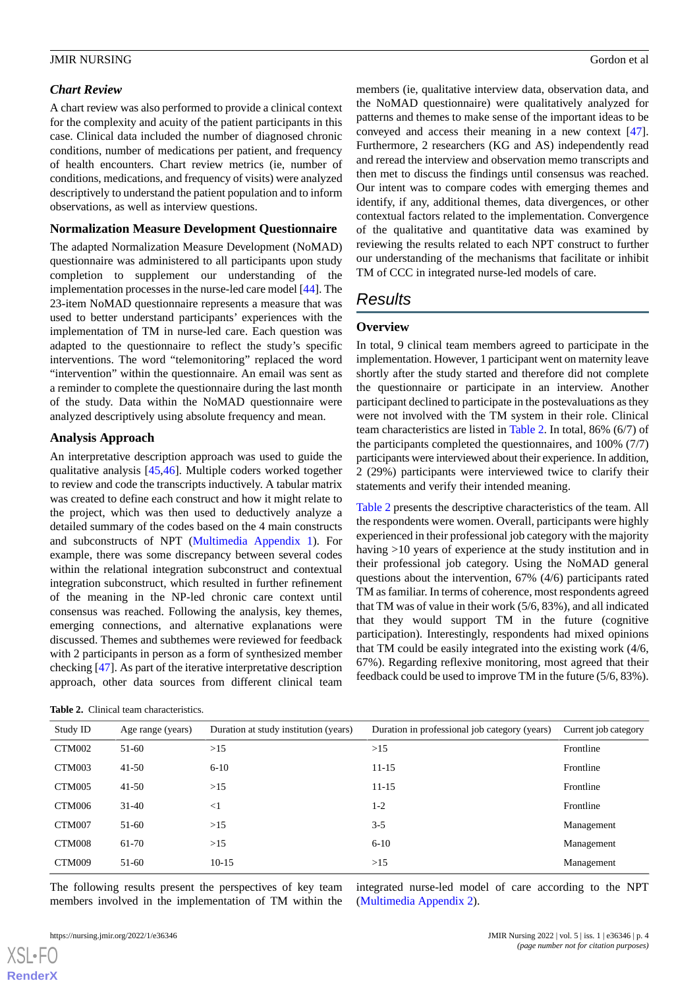#### *Chart Review*

A chart review was also performed to provide a clinical context for the complexity and acuity of the patient participants in this case. Clinical data included the number of diagnosed chronic conditions, number of medications per patient, and frequency of health encounters. Chart review metrics (ie, number of conditions, medications, and frequency of visits) were analyzed descriptively to understand the patient population and to inform observations, as well as interview questions.

#### **Normalization Measure Development Questionnaire**

The adapted Normalization Measure Development (NoMAD) questionnaire was administered to all participants upon study completion to supplement our understanding of the implementation processes in the nurse-led care model [\[44](#page-11-5)]. The 23-item NoMAD questionnaire represents a measure that was used to better understand participants' experiences with the implementation of TM in nurse-led care. Each question was adapted to the questionnaire to reflect the study's specific interventions. The word "telemonitoring" replaced the word "intervention" within the questionnaire. An email was sent as a reminder to complete the questionnaire during the last month of the study. Data within the NoMAD questionnaire were analyzed descriptively using absolute frequency and mean.

## **Analysis Approach**

An interpretative description approach was used to guide the qualitative analysis [[45,](#page-11-6)[46](#page-11-7)]. Multiple coders worked together to review and code the transcripts inductively. A tabular matrix was created to define each construct and how it might relate to the project, which was then used to deductively analyze a detailed summary of the codes based on the 4 main constructs and subconstructs of NPT [\(Multimedia Appendix 1](#page-8-0)). For example, there was some discrepancy between several codes within the relational integration subconstruct and contextual integration subconstruct, which resulted in further refinement of the meaning in the NP-led chronic care context until consensus was reached. Following the analysis, key themes, emerging connections, and alternative explanations were discussed. Themes and subthemes were reviewed for feedback with 2 participants in person as a form of synthesized member checking [\[47](#page-11-8)]. As part of the iterative interpretative description approach, other data sources from different clinical team

<span id="page-3-0"></span>

members (ie, qualitative interview data, observation data, and the NoMAD questionnaire) were qualitatively analyzed for patterns and themes to make sense of the important ideas to be conveyed and access their meaning in a new context [[47\]](#page-11-8). Furthermore, 2 researchers (KG and AS) independently read and reread the interview and observation memo transcripts and then met to discuss the findings until consensus was reached. Our intent was to compare codes with emerging themes and identify, if any, additional themes, data divergences, or other contextual factors related to the implementation. Convergence of the qualitative and quantitative data was examined by reviewing the results related to each NPT construct to further our understanding of the mechanisms that facilitate or inhibit TM of CCC in integrated nurse-led models of care.

# *Results*

## **Overview**

In total, 9 clinical team members agreed to participate in the implementation. However, 1 participant went on maternity leave shortly after the study started and therefore did not complete the questionnaire or participate in an interview. Another participant declined to participate in the postevaluations as they were not involved with the TM system in their role. Clinical team characteristics are listed in [Table 2](#page-3-0). In total, 86% (6/7) of the participants completed the questionnaires, and 100% (7/7) participants were interviewed about their experience. In addition, 2 (29%) participants were interviewed twice to clarify their statements and verify their intended meaning.

[Table 2](#page-3-0) presents the descriptive characteristics of the team. All the respondents were women. Overall, participants were highly experienced in their professional job category with the majority having >10 years of experience at the study institution and in their professional job category. Using the NoMAD general questions about the intervention, 67% (4/6) participants rated TM as familiar. In terms of coherence, most respondents agreed that TM was of value in their work (5/6, 83%), and all indicated that they would support TM in the future (cognitive participation). Interestingly, respondents had mixed opinions that TM could be easily integrated into the existing work (4/6, 67%). Regarding reflexive monitoring, most agreed that their feedback could be used to improve TM in the future (5/6, 83%).

| Study ID | Age range (years) | Duration at study institution (years) | Duration in professional job category (years) | Current job category |
|----------|-------------------|---------------------------------------|-----------------------------------------------|----------------------|
| CTM002   | $51-60$           | >15                                   | >15                                           | Frontline            |
| CTM003   | $41 - 50$         | $6 - 10$                              | $11 - 15$                                     | Frontline            |
| CTM005   | $41 - 50$         | >15                                   | $11 - 15$                                     | Frontline            |
| CTM006   | $31-40$           | $<$ 1                                 | $1-2$                                         | Frontline            |
| CTM007   | $51-60$           | >15                                   | $3 - 5$                                       | Management           |
| CTM008   | 61-70             | >15                                   | $6 - 10$                                      | Management           |
| CTM009   | 51-60             | $10-15$                               | >15                                           | Management           |

The following results present the perspectives of key team members involved in the implementation of TM within the integrated nurse-led model of care according to the NPT ([Multimedia Appendix 2](#page-9-13)).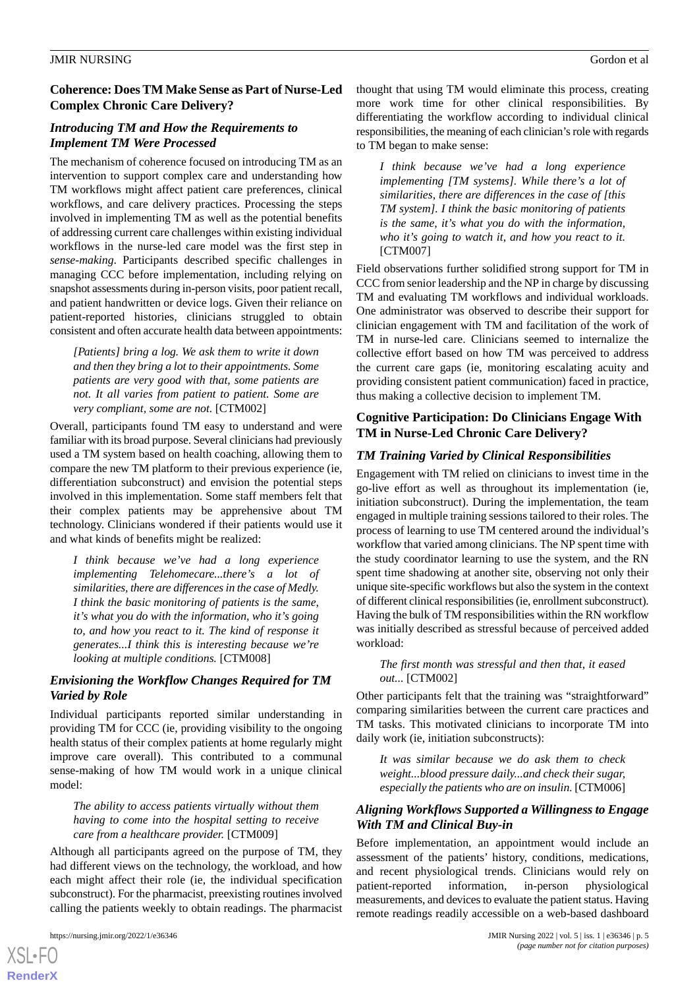## **Coherence: Does TM Make Sense as Part of Nurse-Led Complex Chronic Care Delivery?**

## *Introducing TM and How the Requirements to Implement TM Were Processed*

The mechanism of coherence focused on introducing TM as an intervention to support complex care and understanding how TM workflows might affect patient care preferences, clinical workflows, and care delivery practices. Processing the steps involved in implementing TM as well as the potential benefits of addressing current care challenges within existing individual workflows in the nurse-led care model was the first step in *sense-making*. Participants described specific challenges in managing CCC before implementation, including relying on snapshot assessments during in-person visits, poor patient recall, and patient handwritten or device logs. Given their reliance on patient-reported histories, clinicians struggled to obtain consistent and often accurate health data between appointments:

*[Patients] bring a log. We ask them to write it down and then they bring a lot to their appointments. Some patients are very good with that, some patients are not. It all varies from patient to patient. Some are very compliant, some are not.* [CTM002]

Overall, participants found TM easy to understand and were familiar with its broad purpose. Several clinicians had previously used a TM system based on health coaching, allowing them to compare the new TM platform to their previous experience (ie, differentiation subconstruct) and envision the potential steps involved in this implementation. Some staff members felt that their complex patients may be apprehensive about TM technology. Clinicians wondered if their patients would use it and what kinds of benefits might be realized:

*I think because we've had a long experience implementing Telehomecare...there's a lot of similarities, there are differences in the case of Medly. I think the basic monitoring of patients is the same, it's what you do with the information, who it's going to, and how you react to it. The kind of response it generates...I think this is interesting because we're looking at multiple conditions.* [CTM008]

## *Envisioning the Workflow Changes Required for TM Varied by Role*

Individual participants reported similar understanding in providing TM for CCC (ie, providing visibility to the ongoing health status of their complex patients at home regularly might improve care overall). This contributed to a communal sense-making of how TM would work in a unique clinical model:

*The ability to access patients virtually without them having to come into the hospital setting to receive care from a healthcare provider.* [CTM009]

Although all participants agreed on the purpose of TM, they had different views on the technology, the workload, and how each might affect their role (ie, the individual specification subconstruct). For the pharmacist, preexisting routines involved calling the patients weekly to obtain readings. The pharmacist

 $XS$  $\cdot$ FC **[RenderX](http://www.renderx.com/)** thought that using TM would eliminate this process, creating more work time for other clinical responsibilities. By differentiating the workflow according to individual clinical responsibilities, the meaning of each clinician's role with regards to TM began to make sense:

*I think because we've had a long experience implementing [TM systems]. While there's a lot of similarities, there are differences in the case of [this TM system]. I think the basic monitoring of patients is the same, it's what you do with the information, who it's going to watch it, and how you react to it.* [CTM007]

Field observations further solidified strong support for TM in CCC from senior leadership and the NP in charge by discussing TM and evaluating TM workflows and individual workloads. One administrator was observed to describe their support for clinician engagement with TM and facilitation of the work of TM in nurse-led care. Clinicians seemed to internalize the collective effort based on how TM was perceived to address the current care gaps (ie, monitoring escalating acuity and providing consistent patient communication) faced in practice, thus making a collective decision to implement TM.

## **Cognitive Participation: Do Clinicians Engage With TM in Nurse-Led Chronic Care Delivery?**

## *TM Training Varied by Clinical Responsibilities*

Engagement with TM relied on clinicians to invest time in the go-live effort as well as throughout its implementation (ie, initiation subconstruct). During the implementation, the team engaged in multiple training sessions tailored to their roles. The process of learning to use TM centered around the individual's workflow that varied among clinicians. The NP spent time with the study coordinator learning to use the system, and the RN spent time shadowing at another site, observing not only their unique site-specific workflows but also the system in the context of different clinical responsibilities (ie, enrollment subconstruct). Having the bulk of TM responsibilities within the RN workflow was initially described as stressful because of perceived added workload:

#### *The first month was stressful and then that, it eased out...* [CTM002]

Other participants felt that the training was "straightforward" comparing similarities between the current care practices and TM tasks. This motivated clinicians to incorporate TM into daily work (ie, initiation subconstructs):

*It was similar because we do ask them to check weight...blood pressure daily...and check their sugar, especially the patients who are on insulin.* [CTM006]

## *Aligning Workflows Supported a Willingness to Engage With TM and Clinical Buy-in*

Before implementation, an appointment would include an assessment of the patients' history, conditions, medications, and recent physiological trends. Clinicians would rely on patient-reported information, in-person physiological measurements, and devices to evaluate the patient status. Having remote readings readily accessible on a web-based dashboard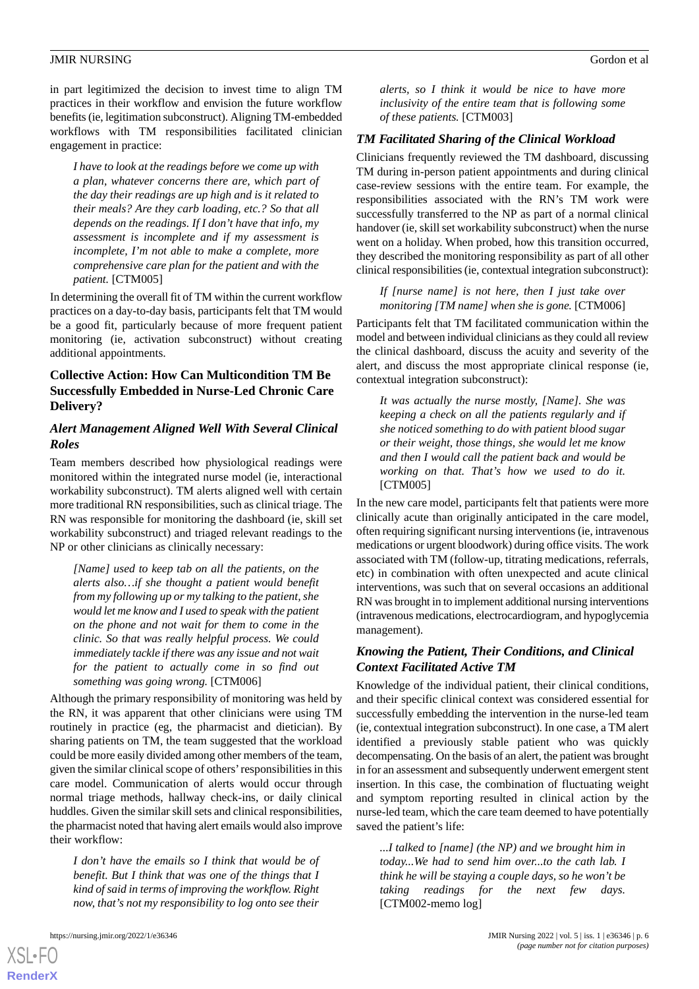in part legitimized the decision to invest time to align TM practices in their workflow and envision the future workflow benefits (ie, legitimation subconstruct). Aligning TM-embedded workflows with TM responsibilities facilitated clinician engagement in practice:

*I have to look at the readings before we come up with a plan, whatever concerns there are, which part of the day their readings are up high and is it related to their meals? Are they carb loading, etc.? So that all depends on the readings. If I don't have that info, my assessment is incomplete and if my assessment is incomplete, I'm not able to make a complete, more comprehensive care plan for the patient and with the patient.* [CTM005]

In determining the overall fit of TM within the current workflow practices on a day-to-day basis, participants felt that TM would be a good fit, particularly because of more frequent patient monitoring (ie, activation subconstruct) without creating additional appointments.

## **Collective Action: How Can Multicondition TM Be Successfully Embedded in Nurse-Led Chronic Care Delivery?**

## *Alert Management Aligned Well With Several Clinical Roles*

Team members described how physiological readings were monitored within the integrated nurse model (ie, interactional workability subconstruct). TM alerts aligned well with certain more traditional RN responsibilities, such as clinical triage. The RN was responsible for monitoring the dashboard (ie, skill set workability subconstruct) and triaged relevant readings to the NP or other clinicians as clinically necessary:

*[Name] used to keep tab on all the patients, on the alerts also…if she thought a patient would benefit from my following up or my talking to the patient, she would let me know and I used to speak with the patient on the phone and not wait for them to come in the clinic. So that was really helpful process. We could immediately tackle if there was any issue and not wait for the patient to actually come in so find out something was going wrong.* [CTM006]

Although the primary responsibility of monitoring was held by the RN, it was apparent that other clinicians were using TM routinely in practice (eg, the pharmacist and dietician). By sharing patients on TM, the team suggested that the workload could be more easily divided among other members of the team, given the similar clinical scope of others'responsibilities in this care model. Communication of alerts would occur through normal triage methods, hallway check-ins, or daily clinical huddles. Given the similar skill sets and clinical responsibilities, the pharmacist noted that having alert emails would also improve their workflow:

*I don't have the emails so I think that would be of benefit. But I think that was one of the things that I kind of said in terms of improving the workflow. Right now, that's not my responsibility to log onto see their*

[XSL](http://www.w3.org/Style/XSL)•FO **[RenderX](http://www.renderx.com/)**

*alerts, so I think it would be nice to have more inclusivity of the entire team that is following some of these patients.* [CTM003]

#### *TM Facilitated Sharing of the Clinical Workload*

Clinicians frequently reviewed the TM dashboard, discussing TM during in-person patient appointments and during clinical case-review sessions with the entire team. For example, the responsibilities associated with the RN's TM work were successfully transferred to the NP as part of a normal clinical handover (ie, skill set workability subconstruct) when the nurse went on a holiday. When probed, how this transition occurred, they described the monitoring responsibility as part of all other clinical responsibilities (ie, contextual integration subconstruct):

*If [nurse name] is not here, then I just take over monitoring [TM name] when she is gone.* [CTM006]

Participants felt that TM facilitated communication within the model and between individual clinicians as they could all review the clinical dashboard, discuss the acuity and severity of the alert, and discuss the most appropriate clinical response (ie, contextual integration subconstruct):

*It was actually the nurse mostly, [Name]. She was keeping a check on all the patients regularly and if she noticed something to do with patient blood sugar or their weight, those things, she would let me know and then I would call the patient back and would be working on that. That's how we used to do it.* [CTM005]

In the new care model, participants felt that patients were more clinically acute than originally anticipated in the care model, often requiring significant nursing interventions (ie, intravenous medications or urgent bloodwork) during office visits. The work associated with TM (follow-up, titrating medications, referrals, etc) in combination with often unexpected and acute clinical interventions, was such that on several occasions an additional RN was brought in to implement additional nursing interventions (intravenous medications, electrocardiogram, and hypoglycemia management).

#### *Knowing the Patient, Their Conditions, and Clinical Context Facilitated Active TM*

Knowledge of the individual patient, their clinical conditions, and their specific clinical context was considered essential for successfully embedding the intervention in the nurse-led team (ie, contextual integration subconstruct). In one case, a TM alert identified a previously stable patient who was quickly decompensating. On the basis of an alert, the patient was brought in for an assessment and subsequently underwent emergent stent insertion. In this case, the combination of fluctuating weight and symptom reporting resulted in clinical action by the nurse-led team, which the care team deemed to have potentially saved the patient's life:

*...I talked to [name] (the NP) and we brought him in today...We had to send him over...to the cath lab. I think he will be staying a couple days, so he won't be taking readings for the next few days.* [CTM002-memo log]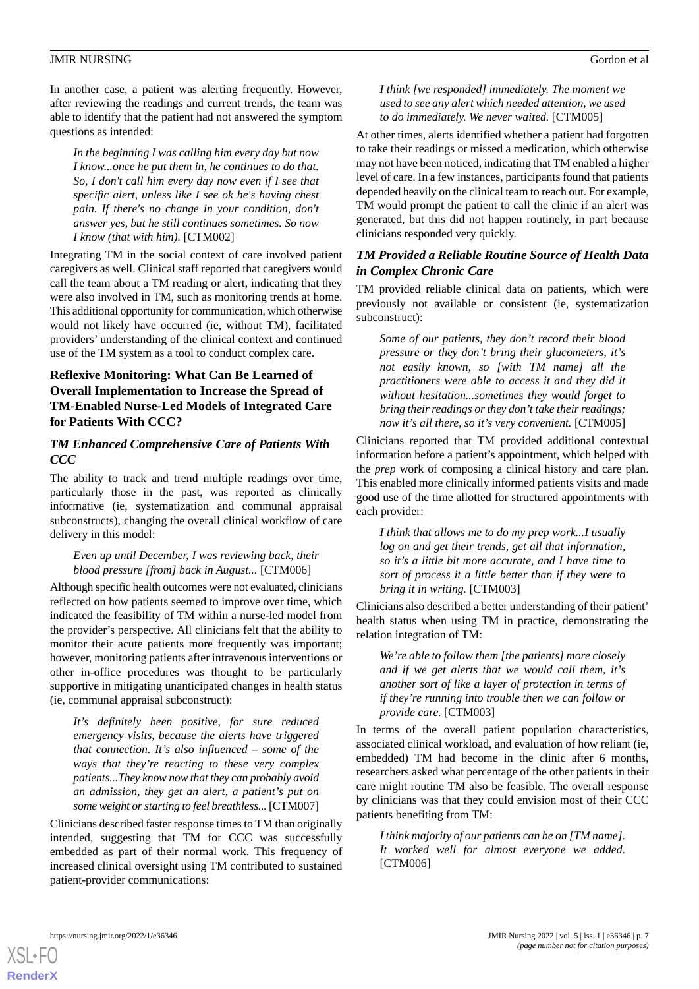In another case, a patient was alerting frequently. However, after reviewing the readings and current trends, the team was able to identify that the patient had not answered the symptom questions as intended:

*In the beginning I was calling him every day but now I know...once he put them in, he continues to do that. So, I don't call him every day now even if I see that specific alert, unless like I see ok he's having chest pain. If there's no change in your condition, don't answer yes, but he still continues sometimes. So now I know (that with him).* [CTM002]

Integrating TM in the social context of care involved patient caregivers as well. Clinical staff reported that caregivers would call the team about a TM reading or alert, indicating that they were also involved in TM, such as monitoring trends at home. This additional opportunity for communication, which otherwise would not likely have occurred (ie, without TM), facilitated providers' understanding of the clinical context and continued use of the TM system as a tool to conduct complex care.

## **Reflexive Monitoring: What Can Be Learned of Overall Implementation to Increase the Spread of TM-Enabled Nurse-Led Models of Integrated Care for Patients With CCC?**

## *TM Enhanced Comprehensive Care of Patients With CCC*

The ability to track and trend multiple readings over time, particularly those in the past, was reported as clinically informative (ie, systematization and communal appraisal subconstructs), changing the overall clinical workflow of care delivery in this model:

#### *Even up until December, I was reviewing back, their blood pressure [from] back in August...* [CTM006]

Although specific health outcomes were not evaluated, clinicians reflected on how patients seemed to improve over time, which indicated the feasibility of TM within a nurse-led model from the provider's perspective. All clinicians felt that the ability to monitor their acute patients more frequently was important; however, monitoring patients after intravenous interventions or other in-office procedures was thought to be particularly supportive in mitigating unanticipated changes in health status (ie, communal appraisal subconstruct):

*It's definitely been positive, for sure reduced emergency visits, because the alerts have triggered that connection. It's also influenced – some of the ways that they're reacting to these very complex patients...They know now that they can probably avoid an admission, they get an alert, a patient's put on some weight or starting to feel breathless...* [CTM007]

Clinicians described faster response times to TM than originally intended, suggesting that TM for CCC was successfully embedded as part of their normal work. This frequency of increased clinical oversight using TM contributed to sustained patient-provider communications:

#### *I think [we responded] immediately. The moment we used to see any alert which needed attention, we used to do immediately. We never waited.* [CTM005]

At other times, alerts identified whether a patient had forgotten to take their readings or missed a medication, which otherwise may not have been noticed, indicating that TM enabled a higher level of care. In a few instances, participants found that patients depended heavily on the clinical team to reach out. For example, TM would prompt the patient to call the clinic if an alert was generated, but this did not happen routinely, in part because clinicians responded very quickly.

## *TM Provided a Reliable Routine Source of Health Data in Complex Chronic Care*

TM provided reliable clinical data on patients, which were previously not available or consistent (ie, systematization subconstruct):

*Some of our patients, they don't record their blood pressure or they don't bring their glucometers, it's not easily known, so [with TM name] all the practitioners were able to access it and they did it without hesitation...sometimes they would forget to bring their readings or they don't take their readings; now it's all there, so it's very convenient.* [CTM005]

Clinicians reported that TM provided additional contextual information before a patient's appointment, which helped with the *prep* work of composing a clinical history and care plan. This enabled more clinically informed patients visits and made good use of the time allotted for structured appointments with each provider:

*I think that allows me to do my prep work...I usually log on and get their trends, get all that information, so it's a little bit more accurate, and I have time to sort of process it a little better than if they were to bring it in writing.* [CTM003]

Clinicians also described a better understanding of their patient' health status when using TM in practice, demonstrating the relation integration of TM:

*We're able to follow them [the patients] more closely and if we get alerts that we would call them, it's another sort of like a layer of protection in terms of if they're running into trouble then we can follow or provide care.* [CTM003]

In terms of the overall patient population characteristics, associated clinical workload, and evaluation of how reliant (ie, embedded) TM had become in the clinic after 6 months, researchers asked what percentage of the other patients in their care might routine TM also be feasible. The overall response by clinicians was that they could envision most of their CCC patients benefiting from TM:

*I think majority of our patients can be on [TM name]. It worked well for almost everyone we added.* [CTM006]

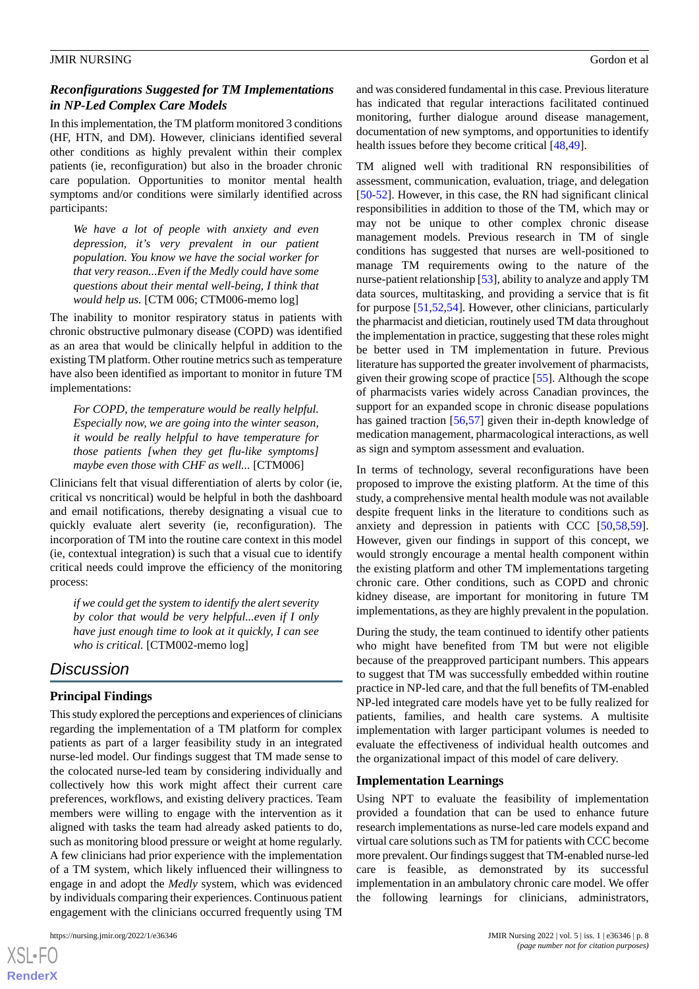## *Reconfigurations Suggested for TM Implementations in NP-Led Complex Care Models*

In this implementation, the TM platform monitored 3 conditions (HF, HTN, and DM). However, clinicians identified several other conditions as highly prevalent within their complex patients (ie, reconfiguration) but also in the broader chronic care population. Opportunities to monitor mental health symptoms and/or conditions were similarly identified across participants:

*We have a lot of people with anxiety and even depression, it's very prevalent in our patient population. You know we have the social worker for that very reason...Even if the Medly could have some questions about their mental well-being, I think that would help us.* [CTM 006; CTM006-memo log]

The inability to monitor respiratory status in patients with chronic obstructive pulmonary disease (COPD) was identified as an area that would be clinically helpful in addition to the existing TM platform. Other routine metrics such as temperature have also been identified as important to monitor in future TM implementations:

*For COPD, the temperature would be really helpful. Especially now, we are going into the winter season, it would be really helpful to have temperature for those patients [when they get flu-like symptoms] maybe even those with CHF as well...* [CTM006]

Clinicians felt that visual differentiation of alerts by color (ie, critical vs noncritical) would be helpful in both the dashboard and email notifications, thereby designating a visual cue to quickly evaluate alert severity (ie, reconfiguration). The incorporation of TM into the routine care context in this model (ie, contextual integration) is such that a visual cue to identify critical needs could improve the efficiency of the monitoring process:

*if we could get the system to identify the alert severity by color that would be very helpful...even if I only have just enough time to look at it quickly, I can see who is critical.* [CTM002-memo log]

# *Discussion*

## **Principal Findings**

This study explored the perceptions and experiences of clinicians regarding the implementation of a TM platform for complex patients as part of a larger feasibility study in an integrated nurse-led model. Our findings suggest that TM made sense to the colocated nurse-led team by considering individually and collectively how this work might affect their current care preferences, workflows, and existing delivery practices. Team members were willing to engage with the intervention as it aligned with tasks the team had already asked patients to do, such as monitoring blood pressure or weight at home regularly. A few clinicians had prior experience with the implementation of a TM system, which likely influenced their willingness to engage in and adopt the *Medly* system, which was evidenced by individuals comparing their experiences. Continuous patient engagement with the clinicians occurred frequently using TM

 $XS$ -FO **[RenderX](http://www.renderx.com/)** and was considered fundamental in this case. Previous literature has indicated that regular interactions facilitated continued monitoring, further dialogue around disease management, documentation of new symptoms, and opportunities to identify health issues before they become critical [[48](#page-11-9)[,49](#page-11-10)].

TM aligned well with traditional RN responsibilities of assessment, communication, evaluation, triage, and delegation [[50](#page-11-11)[-52](#page-11-12)]. However, in this case, the RN had significant clinical responsibilities in addition to those of the TM, which may or may not be unique to other complex chronic disease management models. Previous research in TM of single conditions has suggested that nurses are well-positioned to manage TM requirements owing to the nature of the nurse-patient relationship [\[53](#page-11-13)], ability to analyze and apply TM data sources, multitasking, and providing a service that is fit for purpose [[51,](#page-11-14)[52](#page-11-12),[54\]](#page-11-15). However, other clinicians, particularly the pharmacist and dietician, routinely used TM data throughout the implementation in practice, suggesting that these roles might be better used in TM implementation in future. Previous literature has supported the greater involvement of pharmacists, given their growing scope of practice [\[55](#page-11-16)]. Although the scope of pharmacists varies widely across Canadian provinces, the support for an expanded scope in chronic disease populations has gained traction [\[56](#page-11-17),[57\]](#page-11-18) given their in-depth knowledge of medication management, pharmacological interactions, as well as sign and symptom assessment and evaluation.

In terms of technology, several reconfigurations have been proposed to improve the existing platform. At the time of this study, a comprehensive mental health module was not available despite frequent links in the literature to conditions such as anxiety and depression in patients with CCC [[50](#page-11-11)[,58](#page-11-19),[59\]](#page-11-20). However, given our findings in support of this concept, we would strongly encourage a mental health component within the existing platform and other TM implementations targeting chronic care. Other conditions, such as COPD and chronic kidney disease, are important for monitoring in future TM implementations, as they are highly prevalent in the population.

During the study, the team continued to identify other patients who might have benefited from TM but were not eligible because of the preapproved participant numbers. This appears to suggest that TM was successfully embedded within routine practice in NP-led care, and that the full benefits of TM-enabled NP-led integrated care models have yet to be fully realized for patients, families, and health care systems. A multisite implementation with larger participant volumes is needed to evaluate the effectiveness of individual health outcomes and the organizational impact of this model of care delivery.

#### **Implementation Learnings**

Using NPT to evaluate the feasibility of implementation provided a foundation that can be used to enhance future research implementations as nurse-led care models expand and virtual care solutions such as TM for patients with CCC become more prevalent. Our findings suggest that TM-enabled nurse-led care is feasible, as demonstrated by its successful implementation in an ambulatory chronic care model. We offer the following learnings for clinicians, administrators,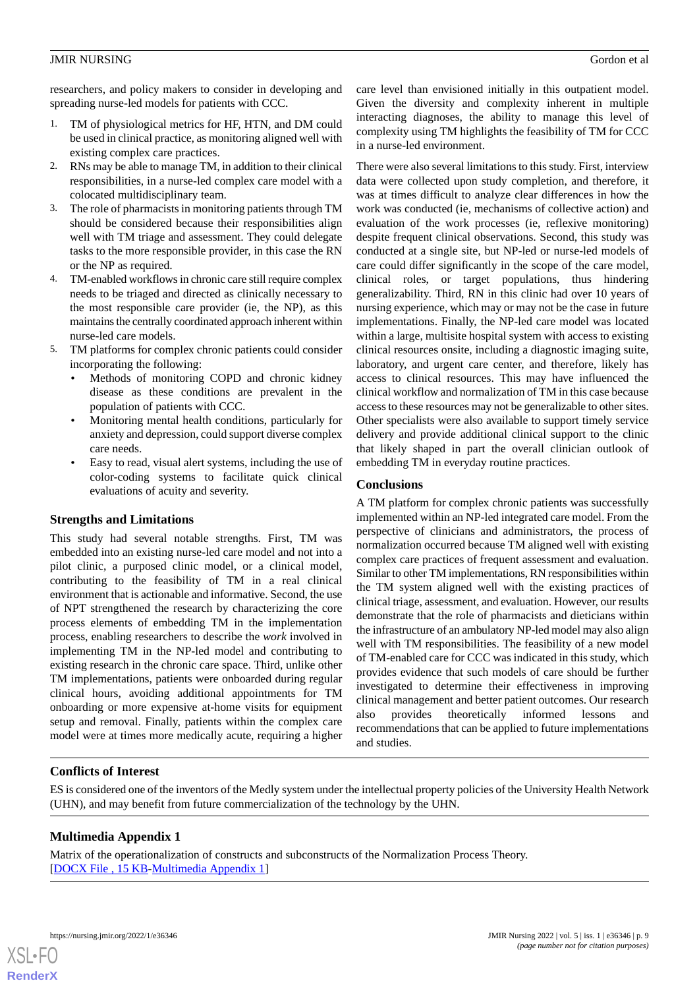researchers, and policy makers to consider in developing and spreading nurse-led models for patients with CCC.

- 1. TM of physiological metrics for HF, HTN, and DM could be used in clinical practice, as monitoring aligned well with existing complex care practices.
- 2. RNs may be able to manage TM, in addition to their clinical responsibilities, in a nurse-led complex care model with a colocated multidisciplinary team.
- 3. The role of pharmacists in monitoring patients through TM should be considered because their responsibilities align well with TM triage and assessment. They could delegate tasks to the more responsible provider, in this case the RN or the NP as required.
- 4. TM-enabled workflows in chronic care still require complex needs to be triaged and directed as clinically necessary to the most responsible care provider (ie, the NP), as this maintains the centrally coordinated approach inherent within nurse-led care models.
- 5. TM platforms for complex chronic patients could consider incorporating the following:
	- Methods of monitoring COPD and chronic kidney disease as these conditions are prevalent in the population of patients with CCC.
	- Monitoring mental health conditions, particularly for anxiety and depression, could support diverse complex care needs.
	- Easy to read, visual alert systems, including the use of color-coding systems to facilitate quick clinical evaluations of acuity and severity.

## **Strengths and Limitations**

This study had several notable strengths. First, TM was embedded into an existing nurse-led care model and not into a pilot clinic, a purposed clinic model, or a clinical model, contributing to the feasibility of TM in a real clinical environment that is actionable and informative. Second, the use of NPT strengthened the research by characterizing the core process elements of embedding TM in the implementation process, enabling researchers to describe the *work* involved in implementing TM in the NP-led model and contributing to existing research in the chronic care space. Third, unlike other TM implementations, patients were onboarded during regular clinical hours, avoiding additional appointments for TM onboarding or more expensive at-home visits for equipment setup and removal. Finally, patients within the complex care model were at times more medically acute, requiring a higher

care level than envisioned initially in this outpatient model. Given the diversity and complexity inherent in multiple interacting diagnoses, the ability to manage this level of complexity using TM highlights the feasibility of TM for CCC in a nurse-led environment.

There were also several limitations to this study. First, interview data were collected upon study completion, and therefore, it was at times difficult to analyze clear differences in how the work was conducted (ie, mechanisms of collective action) and evaluation of the work processes (ie, reflexive monitoring) despite frequent clinical observations. Second, this study was conducted at a single site, but NP-led or nurse-led models of care could differ significantly in the scope of the care model, clinical roles, or target populations, thus hindering generalizability. Third, RN in this clinic had over 10 years of nursing experience, which may or may not be the case in future implementations. Finally, the NP-led care model was located within a large, multisite hospital system with access to existing clinical resources onsite, including a diagnostic imaging suite, laboratory, and urgent care center, and therefore, likely has access to clinical resources. This may have influenced the clinical workflow and normalization of TM in this case because access to these resources may not be generalizable to other sites. Other specialists were also available to support timely service delivery and provide additional clinical support to the clinic that likely shaped in part the overall clinician outlook of embedding TM in everyday routine practices.

## **Conclusions**

A TM platform for complex chronic patients was successfully implemented within an NP-led integrated care model. From the perspective of clinicians and administrators, the process of normalization occurred because TM aligned well with existing complex care practices of frequent assessment and evaluation. Similar to other TM implementations, RN responsibilities within the TM system aligned well with the existing practices of clinical triage, assessment, and evaluation. However, our results demonstrate that the role of pharmacists and dieticians within the infrastructure of an ambulatory NP-led model may also align well with TM responsibilities. The feasibility of a new model of TM-enabled care for CCC was indicated in this study, which provides evidence that such models of care should be further investigated to determine their effectiveness in improving clinical management and better patient outcomes. Our research also provides theoretically informed lessons and recommendations that can be applied to future implementations and studies.

## <span id="page-8-0"></span>**Conflicts of Interest**

ES is considered one of the inventors of the Medly system under the intellectual property policies of the University Health Network (UHN), and may benefit from future commercialization of the technology by the UHN.

## **Multimedia Appendix 1**

Matrix of the operationalization of constructs and subconstructs of the Normalization Process Theory. [[DOCX File , 15 KB](https://jmir.org/api/download?alt_name=nursing_v5i1e36346_app1.docx&filename=07358e610d3d1f650c80587591144300.docx)-[Multimedia Appendix 1\]](https://jmir.org/api/download?alt_name=nursing_v5i1e36346_app1.docx&filename=07358e610d3d1f650c80587591144300.docx)

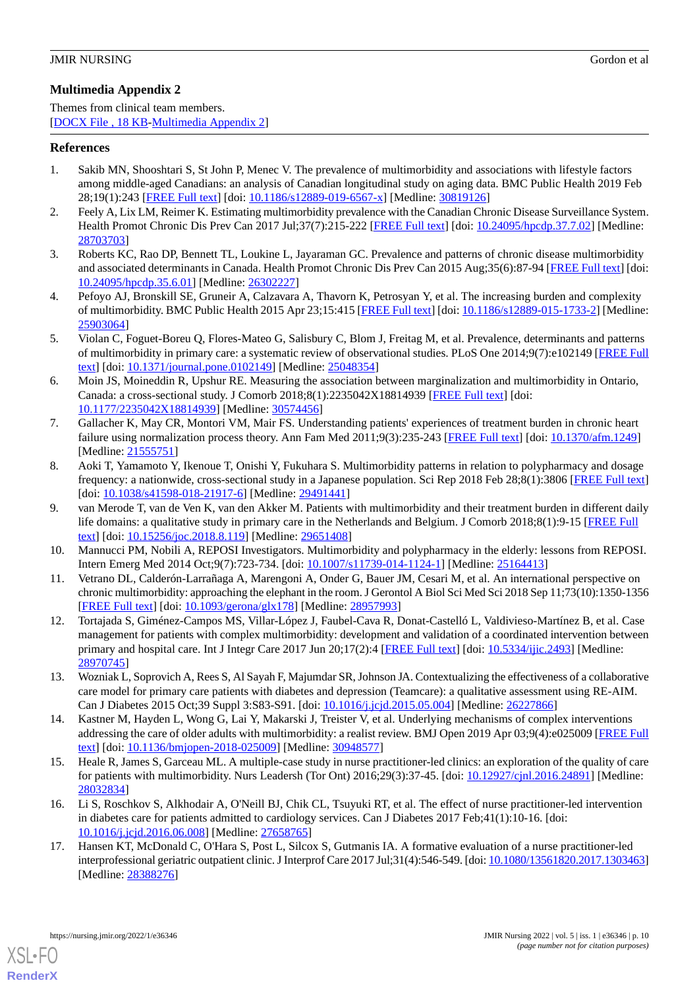## <span id="page-9-13"></span>**Multimedia Appendix 2**

Themes from clinical team members. [[DOCX File , 18 KB](https://jmir.org/api/download?alt_name=nursing_v5i1e36346_app2.docx&filename=544a6961e756c71d883f7162195a3f98.docx)-[Multimedia Appendix 2\]](https://jmir.org/api/download?alt_name=nursing_v5i1e36346_app2.docx&filename=544a6961e756c71d883f7162195a3f98.docx)

## <span id="page-9-0"></span>**References**

- 1. Sakib MN, Shooshtari S, St John P, Menec V. The prevalence of multimorbidity and associations with lifestyle factors among middle-aged Canadians: an analysis of Canadian longitudinal study on aging data. BMC Public Health 2019 Feb 28;19(1):243 [[FREE Full text\]](https://bmcpublichealth.biomedcentral.com/articles/10.1186/s12889-019-6567-x) [doi: [10.1186/s12889-019-6567-x](http://dx.doi.org/10.1186/s12889-019-6567-x)] [Medline: [30819126](http://www.ncbi.nlm.nih.gov/entrez/query.fcgi?cmd=Retrieve&db=PubMed&list_uids=30819126&dopt=Abstract)]
- <span id="page-9-3"></span>2. Feely A, Lix LM, Reimer K. Estimating multimorbidity prevalence with the Canadian Chronic Disease Surveillance System. Health Promot Chronic Dis Prev Can 2017 Jul;37(7):215-222 [\[FREE Full text\]](https://doi.org/10.24095/hpcdp.37.7.02) [doi: [10.24095/hpcdp.37.7.02](http://dx.doi.org/10.24095/hpcdp.37.7.02)] [Medline: [28703703](http://www.ncbi.nlm.nih.gov/entrez/query.fcgi?cmd=Retrieve&db=PubMed&list_uids=28703703&dopt=Abstract)]
- <span id="page-9-1"></span>3. Roberts KC, Rao DP, Bennett TL, Loukine L, Jayaraman GC. Prevalence and patterns of chronic disease multimorbidity and associated determinants in Canada. Health Promot Chronic Dis Prev Can 2015 Aug;35(6):87-94 [[FREE Full text](https://doi.org/10.24095/hpcdp.35.6.01)] [doi: [10.24095/hpcdp.35.6.01\]](http://dx.doi.org/10.24095/hpcdp.35.6.01) [Medline: [26302227\]](http://www.ncbi.nlm.nih.gov/entrez/query.fcgi?cmd=Retrieve&db=PubMed&list_uids=26302227&dopt=Abstract)
- <span id="page-9-2"></span>4. Pefoyo AJ, Bronskill SE, Gruneir A, Calzavara A, Thavorn K, Petrosyan Y, et al. The increasing burden and complexity of multimorbidity. BMC Public Health 2015 Apr 23;15:415 [[FREE Full text](https://bmcpublichealth.biomedcentral.com/articles/10.1186/s12889-015-1733-2)] [doi: [10.1186/s12889-015-1733-2\]](http://dx.doi.org/10.1186/s12889-015-1733-2) [Medline: [25903064](http://www.ncbi.nlm.nih.gov/entrez/query.fcgi?cmd=Retrieve&db=PubMed&list_uids=25903064&dopt=Abstract)]
- <span id="page-9-4"></span>5. Violan C, Foguet-Boreu Q, Flores-Mateo G, Salisbury C, Blom J, Freitag M, et al. Prevalence, determinants and patterns of multimorbidity in primary care: a systematic review of observational studies. PLoS One 2014;9(7):e102149 [[FREE Full](https://dx.plos.org/10.1371/journal.pone.0102149) [text](https://dx.plos.org/10.1371/journal.pone.0102149)] [doi: [10.1371/journal.pone.0102149\]](http://dx.doi.org/10.1371/journal.pone.0102149) [Medline: [25048354](http://www.ncbi.nlm.nih.gov/entrez/query.fcgi?cmd=Retrieve&db=PubMed&list_uids=25048354&dopt=Abstract)]
- <span id="page-9-5"></span>6. Moin JS, Moineddin R, Upshur RE. Measuring the association between marginalization and multimorbidity in Ontario, Canada: a cross-sectional study. J Comorb 2018;8(1):2235042X18814939 [[FREE Full text](https://journals.sagepub.com/doi/10.1177/2235042X18814939?url_ver=Z39.88-2003&rfr_id=ori:rid:crossref.org&rfr_dat=cr_pub%3dpubmed)] [doi: [10.1177/2235042X18814939](http://dx.doi.org/10.1177/2235042X18814939)] [Medline: [30574456\]](http://www.ncbi.nlm.nih.gov/entrez/query.fcgi?cmd=Retrieve&db=PubMed&list_uids=30574456&dopt=Abstract)
- <span id="page-9-11"></span>7. Gallacher K, May CR, Montori VM, Mair FS. Understanding patients' experiences of treatment burden in chronic heart failure using normalization process theory. Ann Fam Med 2011;9(3):235-243 [[FREE Full text](http://www.annfammed.org/cgi/pmidlookup?view=long&pmid=21555751)] [doi: [10.1370/afm.1249\]](http://dx.doi.org/10.1370/afm.1249) [Medline: [21555751](http://www.ncbi.nlm.nih.gov/entrez/query.fcgi?cmd=Retrieve&db=PubMed&list_uids=21555751&dopt=Abstract)]
- 8. Aoki T, Yamamoto Y, Ikenoue T, Onishi Y, Fukuhara S. Multimorbidity patterns in relation to polypharmacy and dosage frequency: a nationwide, cross-sectional study in a Japanese population. Sci Rep 2018 Feb 28;8(1):3806 [\[FREE Full text](https://doi.org/10.1038/s41598-018-21917-6)] [doi: [10.1038/s41598-018-21917-6](http://dx.doi.org/10.1038/s41598-018-21917-6)] [Medline: [29491441\]](http://www.ncbi.nlm.nih.gov/entrez/query.fcgi?cmd=Retrieve&db=PubMed&list_uids=29491441&dopt=Abstract)
- <span id="page-9-7"></span><span id="page-9-6"></span>9. van Merode T, van de Ven K, van den Akker M. Patients with multimorbidity and their treatment burden in different daily life domains: a qualitative study in primary care in the Netherlands and Belgium. J Comorb 2018;8(1):9-15 [[FREE Full](https://journals.sagepub.com/doi/10.15256/joc.2018.8.119?url_ver=Z39.88-2003&rfr_id=ori:rid:crossref.org&rfr_dat=cr_pub%3dpubmed) [text](https://journals.sagepub.com/doi/10.15256/joc.2018.8.119?url_ver=Z39.88-2003&rfr_id=ori:rid:crossref.org&rfr_dat=cr_pub%3dpubmed)] [doi: [10.15256/joc.2018.8.119\]](http://dx.doi.org/10.15256/joc.2018.8.119) [Medline: [29651408](http://www.ncbi.nlm.nih.gov/entrez/query.fcgi?cmd=Retrieve&db=PubMed&list_uids=29651408&dopt=Abstract)]
- <span id="page-9-8"></span>10. Mannucci PM, Nobili A, REPOSI Investigators. Multimorbidity and polypharmacy in the elderly: lessons from REPOSI. Intern Emerg Med 2014 Oct;9(7):723-734. [doi: [10.1007/s11739-014-1124-1\]](http://dx.doi.org/10.1007/s11739-014-1124-1) [Medline: [25164413\]](http://www.ncbi.nlm.nih.gov/entrez/query.fcgi?cmd=Retrieve&db=PubMed&list_uids=25164413&dopt=Abstract)
- 11. Vetrano DL, Calderón-Larrañaga A, Marengoni A, Onder G, Bauer JM, Cesari M, et al. An international perspective on chronic multimorbidity: approaching the elephant in the room. J Gerontol A Biol Sci Med Sci 2018 Sep 11;73(10):1350-1356 [[FREE Full text](http://europepmc.org/abstract/MED/28957993)] [doi: [10.1093/gerona/glx178](http://dx.doi.org/10.1093/gerona/glx178)] [Medline: [28957993](http://www.ncbi.nlm.nih.gov/entrez/query.fcgi?cmd=Retrieve&db=PubMed&list_uids=28957993&dopt=Abstract)]
- <span id="page-9-10"></span><span id="page-9-9"></span>12. Tortajada S, Giménez-Campos MS, Villar-López J, Faubel-Cava R, Donat-Castelló L, Valdivieso-Martínez B, et al. Case management for patients with complex multimorbidity: development and validation of a coordinated intervention between primary and hospital care. Int J Integr Care 2017 Jun 20;17(2):4 [[FREE Full text](http://europepmc.org/abstract/MED/28970745)] [doi: [10.5334/ijic.2493](http://dx.doi.org/10.5334/ijic.2493)] [Medline: [28970745](http://www.ncbi.nlm.nih.gov/entrez/query.fcgi?cmd=Retrieve&db=PubMed&list_uids=28970745&dopt=Abstract)]
- <span id="page-9-12"></span>13. Wozniak L, Soprovich A, Rees S, Al Sayah F, Majumdar SR, Johnson JA. Contextualizing the effectiveness of a collaborative care model for primary care patients with diabetes and depression (Teamcare): a qualitative assessment using RE-AIM. Can J Diabetes 2015 Oct;39 Suppl 3:S83-S91. [doi: [10.1016/j.jcjd.2015.05.004\]](http://dx.doi.org/10.1016/j.jcjd.2015.05.004) [Medline: [26227866\]](http://www.ncbi.nlm.nih.gov/entrez/query.fcgi?cmd=Retrieve&db=PubMed&list_uids=26227866&dopt=Abstract)
- 14. Kastner M, Hayden L, Wong G, Lai Y, Makarski J, Treister V, et al. Underlying mechanisms of complex interventions addressing the care of older adults with multimorbidity: a realist review. BMJ Open 2019 Apr 03;9(4):e025009 [\[FREE Full](https://bmjopen.bmj.com/lookup/pmidlookup?view=long&pmid=30948577) [text](https://bmjopen.bmj.com/lookup/pmidlookup?view=long&pmid=30948577)] [doi: [10.1136/bmjopen-2018-025009\]](http://dx.doi.org/10.1136/bmjopen-2018-025009) [Medline: [30948577](http://www.ncbi.nlm.nih.gov/entrez/query.fcgi?cmd=Retrieve&db=PubMed&list_uids=30948577&dopt=Abstract)]
- 15. Heale R, James S, Garceau ML. A multiple-case study in nurse practitioner-led clinics: an exploration of the quality of care for patients with multimorbidity. Nurs Leadersh (Tor Ont) 2016;29(3):37-45. [doi: [10.12927/cjnl.2016.24891](http://dx.doi.org/10.12927/cjnl.2016.24891)] [Medline: [28032834](http://www.ncbi.nlm.nih.gov/entrez/query.fcgi?cmd=Retrieve&db=PubMed&list_uids=28032834&dopt=Abstract)]
- 16. Li S, Roschkov S, Alkhodair A, O'Neill BJ, Chik CL, Tsuyuki RT, et al. The effect of nurse practitioner-led intervention in diabetes care for patients admitted to cardiology services. Can J Diabetes 2017 Feb;41(1):10-16. [doi: [10.1016/j.jcjd.2016.06.008\]](http://dx.doi.org/10.1016/j.jcjd.2016.06.008) [Medline: [27658765](http://www.ncbi.nlm.nih.gov/entrez/query.fcgi?cmd=Retrieve&db=PubMed&list_uids=27658765&dopt=Abstract)]
- 17. Hansen KT, McDonald C, O'Hara S, Post L, Silcox S, Gutmanis IA. A formative evaluation of a nurse practitioner-led interprofessional geriatric outpatient clinic. J Interprof Care 2017 Jul;31(4):546-549. [doi: [10.1080/13561820.2017.1303463](http://dx.doi.org/10.1080/13561820.2017.1303463)] [Medline: [28388276](http://www.ncbi.nlm.nih.gov/entrez/query.fcgi?cmd=Retrieve&db=PubMed&list_uids=28388276&dopt=Abstract)]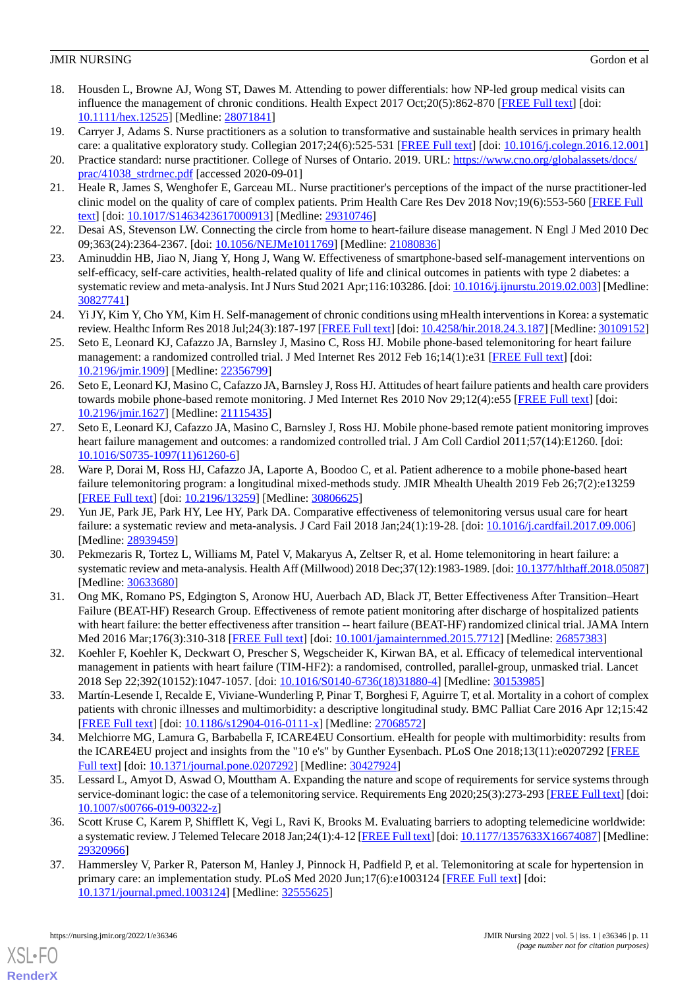- <span id="page-10-0"></span>18. Housden L, Browne AJ, Wong ST, Dawes M. Attending to power differentials: how NP-led group medical visits can influence the management of chronic conditions. Health Expect 2017 Oct;20(5):862-870 [\[FREE Full text\]](https://doi.org/10.1111/hex.12525) [doi: [10.1111/hex.12525\]](http://dx.doi.org/10.1111/hex.12525) [Medline: [28071841](http://www.ncbi.nlm.nih.gov/entrez/query.fcgi?cmd=Retrieve&db=PubMed&list_uids=28071841&dopt=Abstract)]
- <span id="page-10-2"></span><span id="page-10-1"></span>19. Carryer J, Adams S. Nurse practitioners as a solution to transformative and sustainable health services in primary health care: a qualitative exploratory study. Collegian 2017;24(6):525-531 [[FREE Full text](https://doi.org/10.1016/j.colegn.2016.12.001)] [doi: [10.1016/j.colegn.2016.12.001](http://dx.doi.org/10.1016/j.colegn.2016.12.001)]
- <span id="page-10-3"></span>20. Practice standard: nurse practitioner. College of Nurses of Ontario. 2019. URL: [https://www.cno.org/globalassets/docs/](https://www.cno.org/globalassets/docs/prac/41038_strdrnec.pdf) [prac/41038\\_strdrnec.pdf](https://www.cno.org/globalassets/docs/prac/41038_strdrnec.pdf) [accessed 2020-09-01]
- <span id="page-10-4"></span>21. Heale R, James S, Wenghofer E, Garceau ML. Nurse practitioner's perceptions of the impact of the nurse practitioner-led clinic model on the quality of care of complex patients. Prim Health Care Res Dev 2018 Nov;19(6):553-560 [[FREE Full](http://europepmc.org/abstract/MED/29310746) [text](http://europepmc.org/abstract/MED/29310746)] [doi: [10.1017/S1463423617000913](http://dx.doi.org/10.1017/S1463423617000913)] [Medline: [29310746](http://www.ncbi.nlm.nih.gov/entrez/query.fcgi?cmd=Retrieve&db=PubMed&list_uids=29310746&dopt=Abstract)]
- <span id="page-10-5"></span>22. Desai AS, Stevenson LW. Connecting the circle from home to heart-failure disease management. N Engl J Med 2010 Dec 09;363(24):2364-2367. [doi: [10.1056/NEJMe1011769](http://dx.doi.org/10.1056/NEJMe1011769)] [Medline: [21080836](http://www.ncbi.nlm.nih.gov/entrez/query.fcgi?cmd=Retrieve&db=PubMed&list_uids=21080836&dopt=Abstract)]
- <span id="page-10-6"></span>23. Aminuddin HB, Jiao N, Jiang Y, Hong J, Wang W. Effectiveness of smartphone-based self-management interventions on self-efficacy, self-care activities, health-related quality of life and clinical outcomes in patients with type 2 diabetes: a systematic review and meta-analysis. Int J Nurs Stud 2021 Apr;116:103286. [doi: [10.1016/j.ijnurstu.2019.02.003](http://dx.doi.org/10.1016/j.ijnurstu.2019.02.003)] [Medline: [30827741](http://www.ncbi.nlm.nih.gov/entrez/query.fcgi?cmd=Retrieve&db=PubMed&list_uids=30827741&dopt=Abstract)]
- <span id="page-10-7"></span>24. Yi JY, Kim Y, Cho YM, Kim H. Self-management of chronic conditions using mHealth interventions in Korea: a systematic review. Healthc Inform Res 2018 Jul;24(3):187-197 [\[FREE Full text](https://www.e-hir.org/DOIx.php?id=10.4258/hir.2018.24.3.187)] [doi: [10.4258/hir.2018.24.3.187\]](http://dx.doi.org/10.4258/hir.2018.24.3.187) [Medline: [30109152\]](http://www.ncbi.nlm.nih.gov/entrez/query.fcgi?cmd=Retrieve&db=PubMed&list_uids=30109152&dopt=Abstract)
- 25. Seto E, Leonard KJ, Cafazzo JA, Barnsley J, Masino C, Ross HJ. Mobile phone-based telemonitoring for heart failure management: a randomized controlled trial. J Med Internet Res 2012 Feb 16;14(1):e31 [[FREE Full text\]](https://www.jmir.org/2012/1/e31/) [doi: [10.2196/jmir.1909](http://dx.doi.org/10.2196/jmir.1909)] [Medline: [22356799](http://www.ncbi.nlm.nih.gov/entrez/query.fcgi?cmd=Retrieve&db=PubMed&list_uids=22356799&dopt=Abstract)]
- 26. Seto E, Leonard KJ, Masino C, Cafazzo JA, Barnsley J, Ross HJ. Attitudes of heart failure patients and health care providers towards mobile phone-based remote monitoring. J Med Internet Res 2010 Nov 29;12(4):e55 [\[FREE Full text\]](https://www.jmir.org/2010/4/e55/) [doi: [10.2196/jmir.1627](http://dx.doi.org/10.2196/jmir.1627)] [Medline: [21115435](http://www.ncbi.nlm.nih.gov/entrez/query.fcgi?cmd=Retrieve&db=PubMed&list_uids=21115435&dopt=Abstract)]
- 27. Seto E, Leonard KJ, Cafazzo JA, Masino C, Barnsley J, Ross HJ. Mobile phone-based remote patient monitoring improves heart failure management and outcomes: a randomized controlled trial. J Am Coll Cardiol 2011;57(14):E1260. [doi: [10.1016/S0735-1097\(11\)61260-6\]](http://dx.doi.org/10.1016/S0735-1097(11)61260-6)
- 28. Ware P, Dorai M, Ross HJ, Cafazzo JA, Laporte A, Boodoo C, et al. Patient adherence to a mobile phone-based heart failure telemonitoring program: a longitudinal mixed-methods study. JMIR Mhealth Uhealth 2019 Feb 26;7(2):e13259 [[FREE Full text](https://mhealth.jmir.org/2019/2/e13259/)] [doi: [10.2196/13259\]](http://dx.doi.org/10.2196/13259) [Medline: [30806625\]](http://www.ncbi.nlm.nih.gov/entrez/query.fcgi?cmd=Retrieve&db=PubMed&list_uids=30806625&dopt=Abstract)
- <span id="page-10-8"></span>29. Yun JE, Park JE, Park HY, Lee HY, Park DA. Comparative effectiveness of telemonitoring versus usual care for heart failure: a systematic review and meta-analysis. J Card Fail 2018 Jan;24(1):19-28. [doi: [10.1016/j.cardfail.2017.09.006](http://dx.doi.org/10.1016/j.cardfail.2017.09.006)] [Medline: [28939459](http://www.ncbi.nlm.nih.gov/entrez/query.fcgi?cmd=Retrieve&db=PubMed&list_uids=28939459&dopt=Abstract)]
- <span id="page-10-9"></span>30. Pekmezaris R, Tortez L, Williams M, Patel V, Makaryus A, Zeltser R, et al. Home telemonitoring in heart failure: a systematic review and meta-analysis. Health Aff (Millwood) 2018 Dec;37(12):1983-1989. [doi: [10.1377/hlthaff.2018.05087](http://dx.doi.org/10.1377/hlthaff.2018.05087)] [Medline: [30633680](http://www.ncbi.nlm.nih.gov/entrez/query.fcgi?cmd=Retrieve&db=PubMed&list_uids=30633680&dopt=Abstract)]
- <span id="page-10-10"></span>31. Ong MK, Romano PS, Edgington S, Aronow HU, Auerbach AD, Black JT, Better Effectiveness After Transition–Heart Failure (BEAT-HF) Research Group. Effectiveness of remote patient monitoring after discharge of hospitalized patients with heart failure: the better effectiveness after transition -- heart failure (BEAT-HF) randomized clinical trial. JAMA Intern Med 2016 Mar;176(3):310-318 [[FREE Full text](http://europepmc.org/abstract/MED/26857383)] [doi: [10.1001/jamainternmed.2015.7712\]](http://dx.doi.org/10.1001/jamainternmed.2015.7712) [Medline: [26857383\]](http://www.ncbi.nlm.nih.gov/entrez/query.fcgi?cmd=Retrieve&db=PubMed&list_uids=26857383&dopt=Abstract)
- <span id="page-10-11"></span>32. Koehler F, Koehler K, Deckwart O, Prescher S, Wegscheider K, Kirwan BA, et al. Efficacy of telemedical interventional management in patients with heart failure (TIM-HF2): a randomised, controlled, parallel-group, unmasked trial. Lancet 2018 Sep 22;392(10152):1047-1057. [doi: [10.1016/S0140-6736\(18\)31880-4\]](http://dx.doi.org/10.1016/S0140-6736(18)31880-4) [Medline: [30153985](http://www.ncbi.nlm.nih.gov/entrez/query.fcgi?cmd=Retrieve&db=PubMed&list_uids=30153985&dopt=Abstract)]
- <span id="page-10-12"></span>33. Martín-Lesende I, Recalde E, Viviane-Wunderling P, Pinar T, Borghesi F, Aguirre T, et al. Mortality in a cohort of complex patients with chronic illnesses and multimorbidity: a descriptive longitudinal study. BMC Palliat Care 2016 Apr 12;15:42 [[FREE Full text](https://bmcpalliatcare.biomedcentral.com/articles/10.1186/s12904-016-0111-x)] [doi: [10.1186/s12904-016-0111-x\]](http://dx.doi.org/10.1186/s12904-016-0111-x) [Medline: [27068572](http://www.ncbi.nlm.nih.gov/entrez/query.fcgi?cmd=Retrieve&db=PubMed&list_uids=27068572&dopt=Abstract)]
- <span id="page-10-13"></span>34. Melchiorre MG, Lamura G, Barbabella F, ICARE4EU Consortium. eHealth for people with multimorbidity: results from the ICARE4EU project and insights from the "10 e's" by Gunther Eysenbach. PLoS One 2018;13(11):e0207292 [\[FREE](https://dx.plos.org/10.1371/journal.pone.0207292) [Full text\]](https://dx.plos.org/10.1371/journal.pone.0207292) [doi: [10.1371/journal.pone.0207292](http://dx.doi.org/10.1371/journal.pone.0207292)] [Medline: [30427924](http://www.ncbi.nlm.nih.gov/entrez/query.fcgi?cmd=Retrieve&db=PubMed&list_uids=30427924&dopt=Abstract)]
- <span id="page-10-14"></span>35. Lessard L, Amyot D, Aswad O, Mouttham A. Expanding the nature and scope of requirements for service systems through service-dominant logic: the case of a telemonitoring service. Requirements Eng 2020;25(3):273-293 [[FREE Full text](https://doi.org/10.1007/s00766-019-00322-z)] [doi: [10.1007/s00766-019-00322-z](http://dx.doi.org/10.1007/s00766-019-00322-z)]
- 36. Scott Kruse C, Karem P, Shifflett K, Vegi L, Ravi K, Brooks M. Evaluating barriers to adopting telemedicine worldwide: a systematic review. J Telemed Telecare 2018 Jan;24(1):4-12 [\[FREE Full text\]](https://journals.sagepub.com/doi/10.1177/1357633X16674087?url_ver=Z39.88-2003&rfr_id=ori:rid:crossref.org&rfr_dat=cr_pub%3dpubmed) [doi: [10.1177/1357633X16674087\]](http://dx.doi.org/10.1177/1357633X16674087) [Medline: [29320966](http://www.ncbi.nlm.nih.gov/entrez/query.fcgi?cmd=Retrieve&db=PubMed&list_uids=29320966&dopt=Abstract)]
- 37. Hammersley V, Parker R, Paterson M, Hanley J, Pinnock H, Padfield P, et al. Telemonitoring at scale for hypertension in primary care: an implementation study. PLoS Med 2020 Jun;17(6):e1003124 [\[FREE Full text\]](https://dx.plos.org/10.1371/journal.pmed.1003124) [doi: [10.1371/journal.pmed.1003124](http://dx.doi.org/10.1371/journal.pmed.1003124)] [Medline: [32555625](http://www.ncbi.nlm.nih.gov/entrez/query.fcgi?cmd=Retrieve&db=PubMed&list_uids=32555625&dopt=Abstract)]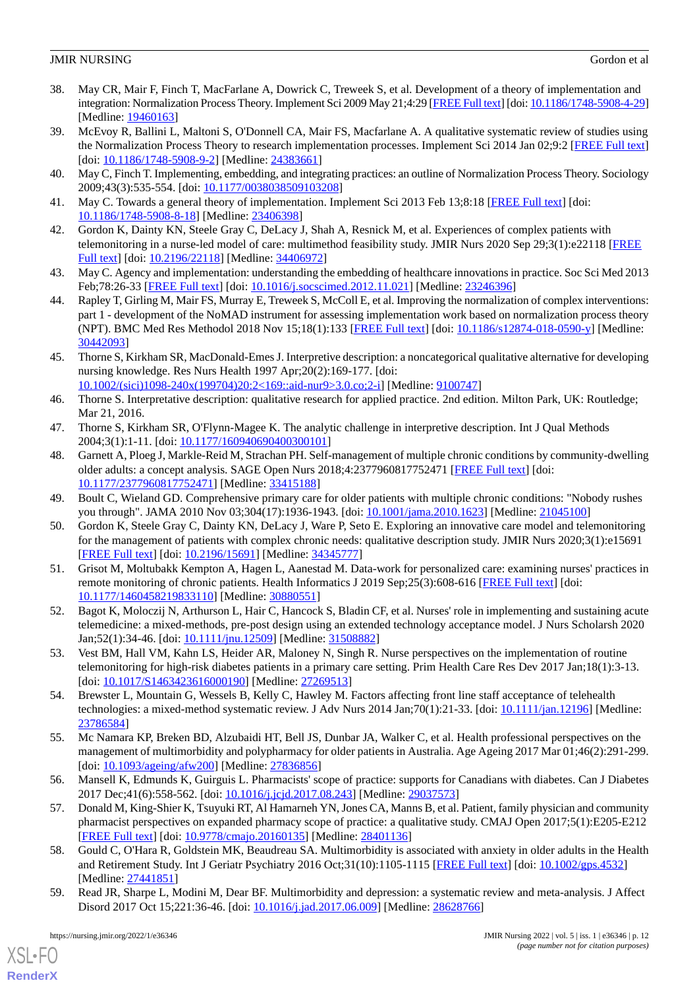- <span id="page-11-0"></span>38. May CR, Mair F, Finch T, MacFarlane A, Dowrick C, Treweek S, et al. Development of a theory of implementation and integration: Normalization Process Theory. Implement Sci 2009 May 21;4:29 [[FREE Full text\]](https://implementationscience.biomedcentral.com/articles/10.1186/1748-5908-4-29) [doi: [10.1186/1748-5908-4-29\]](http://dx.doi.org/10.1186/1748-5908-4-29) [Medline: [19460163](http://www.ncbi.nlm.nih.gov/entrez/query.fcgi?cmd=Retrieve&db=PubMed&list_uids=19460163&dopt=Abstract)]
- 39. McEvoy R, Ballini L, Maltoni S, O'Donnell CA, Mair FS, Macfarlane A. A qualitative systematic review of studies using the Normalization Process Theory to research implementation processes. Implement Sci 2014 Jan 02;9:2 [\[FREE Full text](https://implementationscience.biomedcentral.com/articles/10.1186/1748-5908-9-2)] [doi: [10.1186/1748-5908-9-2](http://dx.doi.org/10.1186/1748-5908-9-2)] [Medline: [24383661\]](http://www.ncbi.nlm.nih.gov/entrez/query.fcgi?cmd=Retrieve&db=PubMed&list_uids=24383661&dopt=Abstract)
- <span id="page-11-3"></span><span id="page-11-1"></span>40. May C, Finch T. Implementing, embedding, and integrating practices: an outline of Normalization Process Theory. Sociology 2009;43(3):535-554. [doi: [10.1177/0038038509103208\]](http://dx.doi.org/10.1177/0038038509103208)
- <span id="page-11-2"></span>41. May C. Towards a general theory of implementation. Implement Sci 2013 Feb 13;8:18 [\[FREE Full text\]](https://implementationscience.biomedcentral.com/articles/10.1186/1748-5908-8-18) [doi: [10.1186/1748-5908-8-18\]](http://dx.doi.org/10.1186/1748-5908-8-18) [Medline: [23406398\]](http://www.ncbi.nlm.nih.gov/entrez/query.fcgi?cmd=Retrieve&db=PubMed&list_uids=23406398&dopt=Abstract)
- <span id="page-11-4"></span>42. Gordon K, Dainty KN, Steele Gray C, DeLacy J, Shah A, Resnick M, et al. Experiences of complex patients with telemonitoring in a nurse-led model of care: multimethod feasibility study. JMIR Nurs 2020 Sep 29;3(1):e22118 [[FREE](http://europepmc.org/abstract/MED/34406972) [Full text\]](http://europepmc.org/abstract/MED/34406972) [doi: [10.2196/22118\]](http://dx.doi.org/10.2196/22118) [Medline: [34406972](http://www.ncbi.nlm.nih.gov/entrez/query.fcgi?cmd=Retrieve&db=PubMed&list_uids=34406972&dopt=Abstract)]
- <span id="page-11-5"></span>43. May C. Agency and implementation: understanding the embedding of healthcare innovations in practice. Soc Sci Med 2013 Feb;78:26-33 [\[FREE Full text\]](https://linkinghub.elsevier.com/retrieve/pii/S0277-9536(12)00770-8) [doi: [10.1016/j.socscimed.2012.11.021\]](http://dx.doi.org/10.1016/j.socscimed.2012.11.021) [Medline: [23246396](http://www.ncbi.nlm.nih.gov/entrez/query.fcgi?cmd=Retrieve&db=PubMed&list_uids=23246396&dopt=Abstract)]
- <span id="page-11-6"></span>44. Rapley T, Girling M, Mair FS, Murray E, Treweek S, McColl E, et al. Improving the normalization of complex interventions: part 1 - development of the NoMAD instrument for assessing implementation work based on normalization process theory (NPT). BMC Med Res Methodol 2018 Nov 15;18(1):133 [[FREE Full text](https://bmcmedresmethodol.biomedcentral.com/articles/10.1186/s12874-018-0590-y)] [doi: [10.1186/s12874-018-0590-y](http://dx.doi.org/10.1186/s12874-018-0590-y)] [Medline: [30442093](http://www.ncbi.nlm.nih.gov/entrez/query.fcgi?cmd=Retrieve&db=PubMed&list_uids=30442093&dopt=Abstract)]
- <span id="page-11-7"></span>45. Thorne S, Kirkham SR, MacDonald-Emes J. Interpretive description: a noncategorical qualitative alternative for developing nursing knowledge. Res Nurs Health 1997 Apr;20(2):169-177. [doi: [10.1002/\(sici\)1098-240x\(199704\)20:2<169::aid-nur9>3.0.co;2-i](http://dx.doi.org/10.1002/(sici)1098-240x(199704)20:2<169::aid-nur9>3.0.co;2-i)] [Medline: [9100747\]](http://www.ncbi.nlm.nih.gov/entrez/query.fcgi?cmd=Retrieve&db=PubMed&list_uids=9100747&dopt=Abstract)
- <span id="page-11-9"></span><span id="page-11-8"></span>46. Thorne S. Interpretative description: qualitative research for applied practice. 2nd edition. Milton Park, UK: Routledge; Mar 21, 2016.
- 47. Thorne S, Kirkham SR, O'Flynn-Magee K. The analytic challenge in interpretive description. Int J Qual Methods 2004;3(1):1-11. [doi: [10.1177/160940690400300101\]](http://dx.doi.org/10.1177/160940690400300101)
- <span id="page-11-11"></span><span id="page-11-10"></span>48. Garnett A, Ploeg J, Markle-Reid M, Strachan PH. Self-management of multiple chronic conditions by community-dwelling older adults: a concept analysis. SAGE Open Nurs 2018;4:2377960817752471 [\[FREE Full text\]](https://journals.sagepub.com/doi/10.1177/2377960817752471?url_ver=Z39.88-2003&rfr_id=ori:rid:crossref.org&rfr_dat=cr_pub%3dpubmed) [doi: [10.1177/2377960817752471\]](http://dx.doi.org/10.1177/2377960817752471) [Medline: [33415188\]](http://www.ncbi.nlm.nih.gov/entrez/query.fcgi?cmd=Retrieve&db=PubMed&list_uids=33415188&dopt=Abstract)
- 49. Boult C, Wieland GD. Comprehensive primary care for older patients with multiple chronic conditions: "Nobody rushes you through". JAMA 2010 Nov 03;304(17):1936-1943. [doi: [10.1001/jama.2010.1623](http://dx.doi.org/10.1001/jama.2010.1623)] [Medline: [21045100\]](http://www.ncbi.nlm.nih.gov/entrez/query.fcgi?cmd=Retrieve&db=PubMed&list_uids=21045100&dopt=Abstract)
- <span id="page-11-14"></span>50. Gordon K, Steele Gray C, Dainty KN, DeLacy J, Ware P, Seto E. Exploring an innovative care model and telemonitoring for the management of patients with complex chronic needs: qualitative description study. JMIR Nurs 2020;3(1):e15691 [[FREE Full text](http://europepmc.org/abstract/MED/34345777)] [doi: [10.2196/15691\]](http://dx.doi.org/10.2196/15691) [Medline: [34345777\]](http://www.ncbi.nlm.nih.gov/entrez/query.fcgi?cmd=Retrieve&db=PubMed&list_uids=34345777&dopt=Abstract)
- <span id="page-11-13"></span><span id="page-11-12"></span>51. Grisot M, Moltubakk Kempton A, Hagen L, Aanestad M. Data-work for personalized care: examining nurses' practices in remote monitoring of chronic patients. Health Informatics J 2019 Sep;25(3):608-616 [\[FREE Full text\]](https://journals.sagepub.com/doi/10.1177/1460458219833110?url_ver=Z39.88-2003&rfr_id=ori:rid:crossref.org&rfr_dat=cr_pub%3dpubmed) [doi: [10.1177/1460458219833110\]](http://dx.doi.org/10.1177/1460458219833110) [Medline: [30880551\]](http://www.ncbi.nlm.nih.gov/entrez/query.fcgi?cmd=Retrieve&db=PubMed&list_uids=30880551&dopt=Abstract)
- <span id="page-11-15"></span>52. Bagot K, Moloczij N, Arthurson L, Hair C, Hancock S, Bladin CF, et al. Nurses' role in implementing and sustaining acute telemedicine: a mixed-methods, pre-post design using an extended technology acceptance model. J Nurs Scholarsh 2020 Jan;52(1):34-46. [doi: [10.1111/jnu.12509](http://dx.doi.org/10.1111/jnu.12509)] [Medline: [31508882](http://www.ncbi.nlm.nih.gov/entrez/query.fcgi?cmd=Retrieve&db=PubMed&list_uids=31508882&dopt=Abstract)]
- <span id="page-11-16"></span>53. Vest BM, Hall VM, Kahn LS, Heider AR, Maloney N, Singh R. Nurse perspectives on the implementation of routine telemonitoring for high-risk diabetes patients in a primary care setting. Prim Health Care Res Dev 2017 Jan;18(1):3-13. [doi: [10.1017/S1463423616000190\]](http://dx.doi.org/10.1017/S1463423616000190) [Medline: [27269513](http://www.ncbi.nlm.nih.gov/entrez/query.fcgi?cmd=Retrieve&db=PubMed&list_uids=27269513&dopt=Abstract)]
- <span id="page-11-17"></span>54. Brewster L, Mountain G, Wessels B, Kelly C, Hawley M. Factors affecting front line staff acceptance of telehealth technologies: a mixed-method systematic review. J Adv Nurs 2014 Jan;70(1):21-33. [doi: [10.1111/jan.12196\]](http://dx.doi.org/10.1111/jan.12196) [Medline: [23786584](http://www.ncbi.nlm.nih.gov/entrez/query.fcgi?cmd=Retrieve&db=PubMed&list_uids=23786584&dopt=Abstract)]
- <span id="page-11-18"></span>55. Mc Namara KP, Breken BD, Alzubaidi HT, Bell JS, Dunbar JA, Walker C, et al. Health professional perspectives on the management of multimorbidity and polypharmacy for older patients in Australia. Age Ageing 2017 Mar 01;46(2):291-299. [doi: [10.1093/ageing/afw200\]](http://dx.doi.org/10.1093/ageing/afw200) [Medline: [27836856](http://www.ncbi.nlm.nih.gov/entrez/query.fcgi?cmd=Retrieve&db=PubMed&list_uids=27836856&dopt=Abstract)]
- <span id="page-11-19"></span>56. Mansell K, Edmunds K, Guirguis L. Pharmacists' scope of practice: supports for Canadians with diabetes. Can J Diabetes 2017 Dec;41(6):558-562. [doi: [10.1016/j.jcjd.2017.08.243](http://dx.doi.org/10.1016/j.jcjd.2017.08.243)] [Medline: [29037573\]](http://www.ncbi.nlm.nih.gov/entrez/query.fcgi?cmd=Retrieve&db=PubMed&list_uids=29037573&dopt=Abstract)
- <span id="page-11-20"></span>57. Donald M, King-Shier K, Tsuyuki RT, Al Hamarneh YN, Jones CA, Manns B, et al. Patient, family physician and community pharmacist perspectives on expanded pharmacy scope of practice: a qualitative study. CMAJ Open 2017;5(1):E205-E212 [[FREE Full text](http://cmajopen.ca/cgi/pmidlookup?view=long&pmid=28401136)] [doi: [10.9778/cmajo.20160135\]](http://dx.doi.org/10.9778/cmajo.20160135) [Medline: [28401136\]](http://www.ncbi.nlm.nih.gov/entrez/query.fcgi?cmd=Retrieve&db=PubMed&list_uids=28401136&dopt=Abstract)
- 58. Gould C, O'Hara R, Goldstein MK, Beaudreau SA. Multimorbidity is associated with anxiety in older adults in the Health and Retirement Study. Int J Geriatr Psychiatry 2016 Oct;31(10):1105-1115 [[FREE Full text](http://europepmc.org/abstract/MED/27441851)] [doi: [10.1002/gps.4532](http://dx.doi.org/10.1002/gps.4532)] [Medline: [27441851](http://www.ncbi.nlm.nih.gov/entrez/query.fcgi?cmd=Retrieve&db=PubMed&list_uids=27441851&dopt=Abstract)]
- 59. Read JR, Sharpe L, Modini M, Dear BF. Multimorbidity and depression: a systematic review and meta-analysis. J Affect Disord 2017 Oct 15;221:36-46. [doi: [10.1016/j.jad.2017.06.009](http://dx.doi.org/10.1016/j.jad.2017.06.009)] [Medline: [28628766](http://www.ncbi.nlm.nih.gov/entrez/query.fcgi?cmd=Retrieve&db=PubMed&list_uids=28628766&dopt=Abstract)]